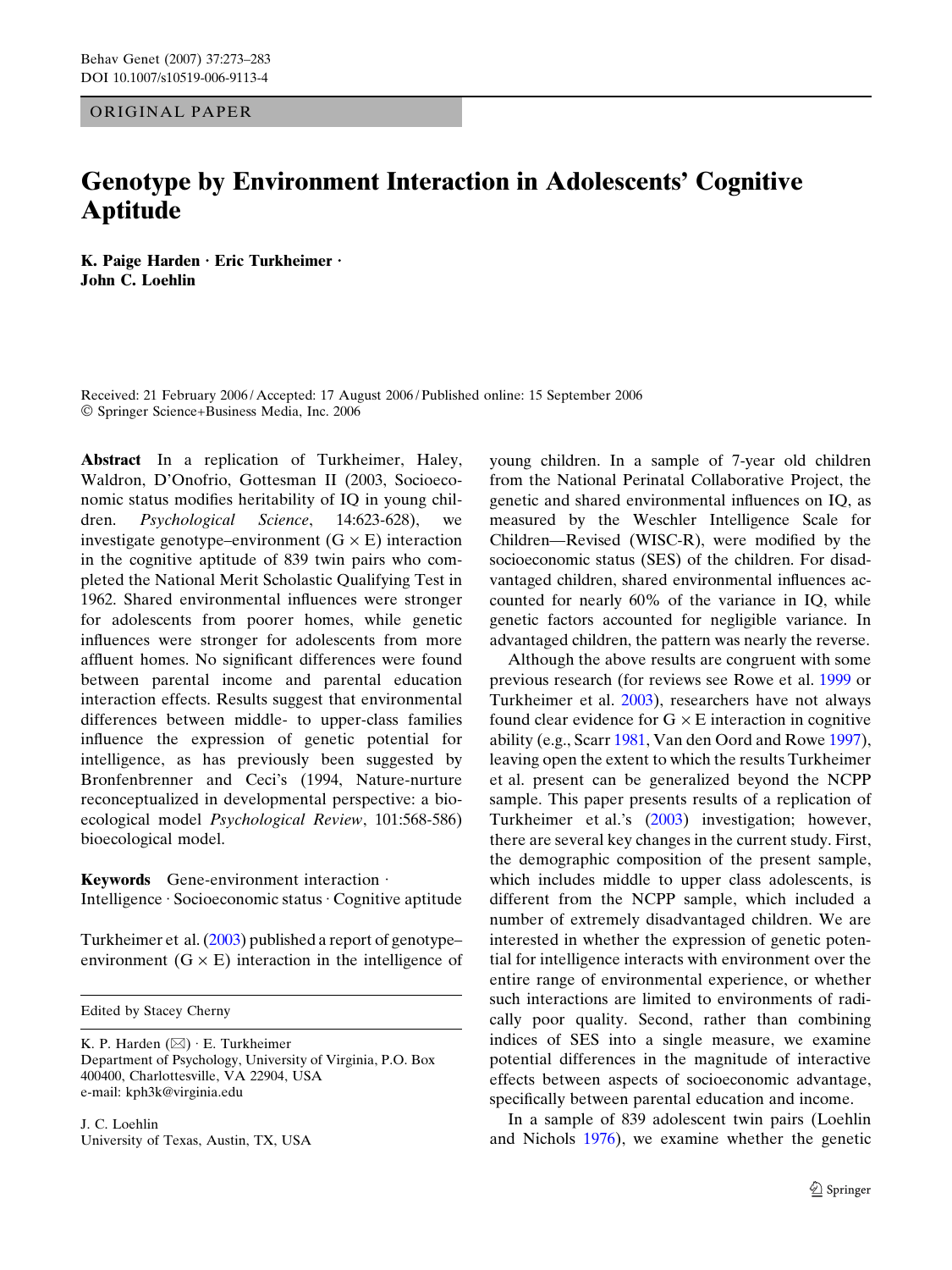ORIGINAL PAPER

# Genotype by Environment Interaction in Adolescents' Cognitive Aptitude

K. Paige Harden  $\cdot$  Eric Turkheimer  $\cdot$ John C. Loehlin

Received: 21 February 2006 / Accepted: 17 August 2006 / Published online: 15 September 2006 ! Springer Science+Business Media, Inc. 2006

Abstract In a replication of Turkheimer, Haley, Waldron, D'Onofrio, Gottesman II (2003, Socioeconomic status modifies heritability of IQ in young children. Psychological Science, 14:623-628), we investigate genotype–environment  $(G \times E)$  interaction in the cognitive aptitude of 839 twin pairs who completed the National Merit Scholastic Qualifying Test in 1962. Shared environmental influences were stronger for adolescents from poorer homes, while genetic influences were stronger for adolescents from more affluent homes. No significant differences were found between parental income and parental education interaction effects. Results suggest that environmental differences between middle- to upper-class families influence the expression of genetic potential for intelligence, as has previously been suggested by Bronfenbrenner and Ceci's (1994, Nature-nurture reconceptualized in developmental perspective: a bioecological model Psychological Review, 101:568-586) bioecological model.

Keywords Gene-environment interaction  $\cdot$ Intelligence · Socioeconomic status · Cognitive aptitude

Turkheimer et al. (2003) published a report of genotype– environment  $(G \times E)$  interaction in the intelligence of

Edited by Stacey Cherny

K. P. Harden  $(\boxtimes) \cdot$  E. Turkheimer Department of Psychology, University of Virginia, P.O. Box 400400, Charlottesville, VA 22904, USA e-mail: kph3k@virginia.edu

J. C. Loehlin University of Texas, Austin, TX, USA young children. In a sample of 7-year old children from the National Perinatal Collaborative Project, the genetic and shared environmental influences on IQ, as measured by the Weschler Intelligence Scale for Children—Revised (WISC-R), were modified by the socioeconomic status (SES) of the children. For disadvantaged children, shared environmental influences accounted for nearly 60% of the variance in IQ, while genetic factors accounted for negligible variance. In advantaged children, the pattern was nearly the reverse.

Although the above results are congruent with some previous research (for reviews see Rowe et al. 1999 or Turkheimer et al. 2003), researchers have not always found clear evidence for  $G \times E$  interaction in cognitive ability (e.g., Scarr 1981, Van den Oord and Rowe 1997), leaving open the extent to which the results Turkheimer et al. present can be generalized beyond the NCPP sample. This paper presents results of a replication of Turkheimer et al.'s (2003) investigation; however, there are several key changes in the current study. First, the demographic composition of the present sample, which includes middle to upper class adolescents, is different from the NCPP sample, which included a number of extremely disadvantaged children. We are interested in whether the expression of genetic potential for intelligence interacts with environment over the entire range of environmental experience, or whether such interactions are limited to environments of radically poor quality. Second, rather than combining indices of SES into a single measure, we examine potential differences in the magnitude of interactive effects between aspects of socioeconomic advantage, specifically between parental education and income.

In a sample of 839 adolescent twin pairs (Loehlin and Nichols 1976), we examine whether the genetic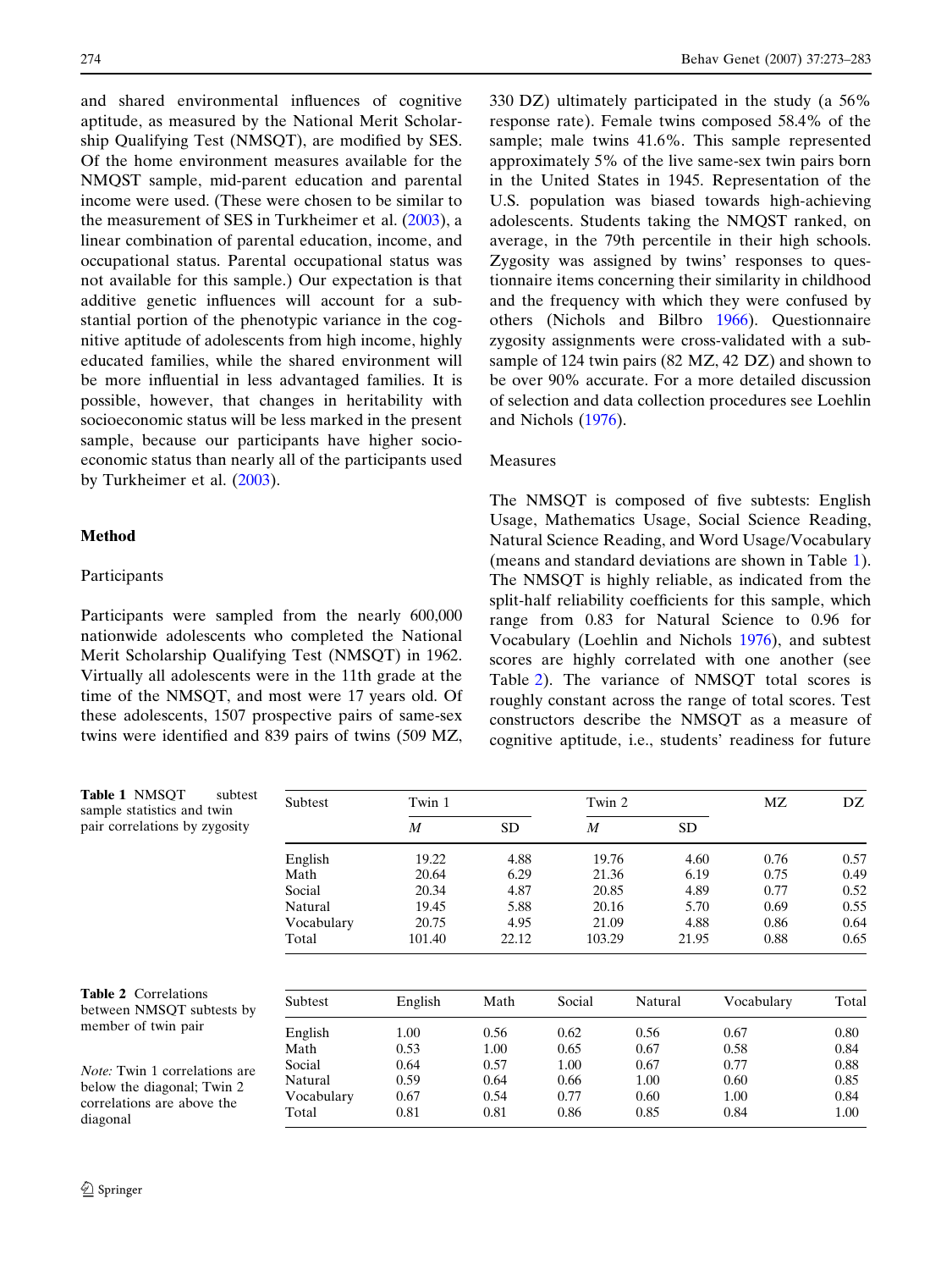and shared environmental influences of cognitive aptitude, as measured by the National Merit Scholarship Qualifying Test (NMSQT), are modified by SES. Of the home environment measures available for the NMQST sample, mid-parent education and parental income were used. (These were chosen to be similar to the measurement of SES in Turkheimer et al. (2003), a linear combination of parental education, income, and occupational status. Parental occupational status was not available for this sample.) Our expectation is that additive genetic influences will account for a substantial portion of the phenotypic variance in the cognitive aptitude of adolescents from high income, highly educated families, while the shared environment will be more influential in less advantaged families. It is possible, however, that changes in heritability with socioeconomic status will be less marked in the present sample, because our participants have higher socioeconomic status than nearly all of the participants used by Turkheimer et al. (2003).

## Method

## Participants

Participants were sampled from the nearly 600,000 nationwide adolescents who completed the National Merit Scholarship Qualifying Test (NMSQT) in 1962. Virtually all adolescents were in the 11th grade at the time of the NMSQT, and most were 17 years old. Of these adolescents, 1507 prospective pairs of same-sex twins were identified and 839 pairs of twins (509 MZ,

330 DZ) ultimately participated in the study (a 56% response rate). Female twins composed 58.4% of the sample; male twins 41.6%. This sample represented approximately 5% of the live same-sex twin pairs born in the United States in 1945. Representation of the U.S. population was biased towards high-achieving adolescents. Students taking the NMQST ranked, on average, in the 79th percentile in their high schools. Zygosity was assigned by twins' responses to questionnaire items concerning their similarity in childhood and the frequency with which they were confused by others (Nichols and Bilbro 1966). Questionnaire zygosity assignments were cross-validated with a subsample of 124 twin pairs (82 MZ, 42 DZ) and shown to be over 90% accurate. For a more detailed discussion of selection and data collection procedures see Loehlin and Nichols (1976).

## Measures

The NMSQT is composed of five subtests: English Usage, Mathematics Usage, Social Science Reading, Natural Science Reading, and Word Usage/Vocabulary (means and standard deviations are shown in Table 1). The NMSQT is highly reliable, as indicated from the split-half reliability coefficients for this sample, which range from 0.83 for Natural Science to 0.96 for Vocabulary (Loehlin and Nichols 1976), and subtest scores are highly correlated with one another (see Table 2). The variance of NMSQT total scores is roughly constant across the range of total scores. Test constructors describe the NMSQT as a measure of cognitive aptitude, i.e., students' readiness for future

| <b>Table 1 NMSOT</b><br>subtest<br>sample statistics and twin      | Subtest    | Twin 1  |           | Twin 2           |         | MZ         | DZ    |
|--------------------------------------------------------------------|------------|---------|-----------|------------------|---------|------------|-------|
| pair correlations by zygosity                                      |            | M       | <b>SD</b> | $\boldsymbol{M}$ | SD.     |            |       |
|                                                                    | English    | 19.22   | 4.88      | 19.76            | 4.60    | 0.76       | 0.57  |
|                                                                    | Math       | 20.64   | 6.29      | 21.36            | 6.19    | 0.75       | 0.49  |
|                                                                    | Social     | 20.34   | 4.87      | 20.85            | 4.89    | 0.77       | 0.52  |
|                                                                    | Natural    | 19.45   | 5.88      | 20.16            | 5.70    | 0.69       | 0.55  |
|                                                                    | Vocabulary | 20.75   | 4.95      | 21.09            | 4.88    | 0.86       | 0.64  |
|                                                                    | Total      | 101.40  | 22.12     | 103.29           | 21.95   | 0.88       | 0.65  |
| <b>Table 2</b> Correlations<br>between NMSQT subtests by           | Subtest    | English | Math      | Social           | Natural | Vocabulary | Total |
| member of twin pair                                                | English    | 1.00    | 0.56      | 0.62             | 0.56    | 0.67       | 0.80  |
|                                                                    | Math       | 0.53    | 1.00      | 0.65             | 0.67    | 0.58       | 0.84  |
|                                                                    | Social     | 0.64    | 0.57      | 1.00             | 0.67    | 0.77       | 0.88  |
| <i>Note:</i> Twin 1 correlations are<br>below the diagonal; Twin 2 | Natural    | 0.59    | 0.64      | 0.66             | 1.00    | 0.60       | 0.85  |
| correlations are above the                                         | Vocabulary | 0.67    | 0.54      | 0.77             | 0.60    | 1.00       | 0.84  |
| diagonal                                                           | Total      | 0.81    | 0.81      | 0.86             | 0.85    | 0.84       | 1.00  |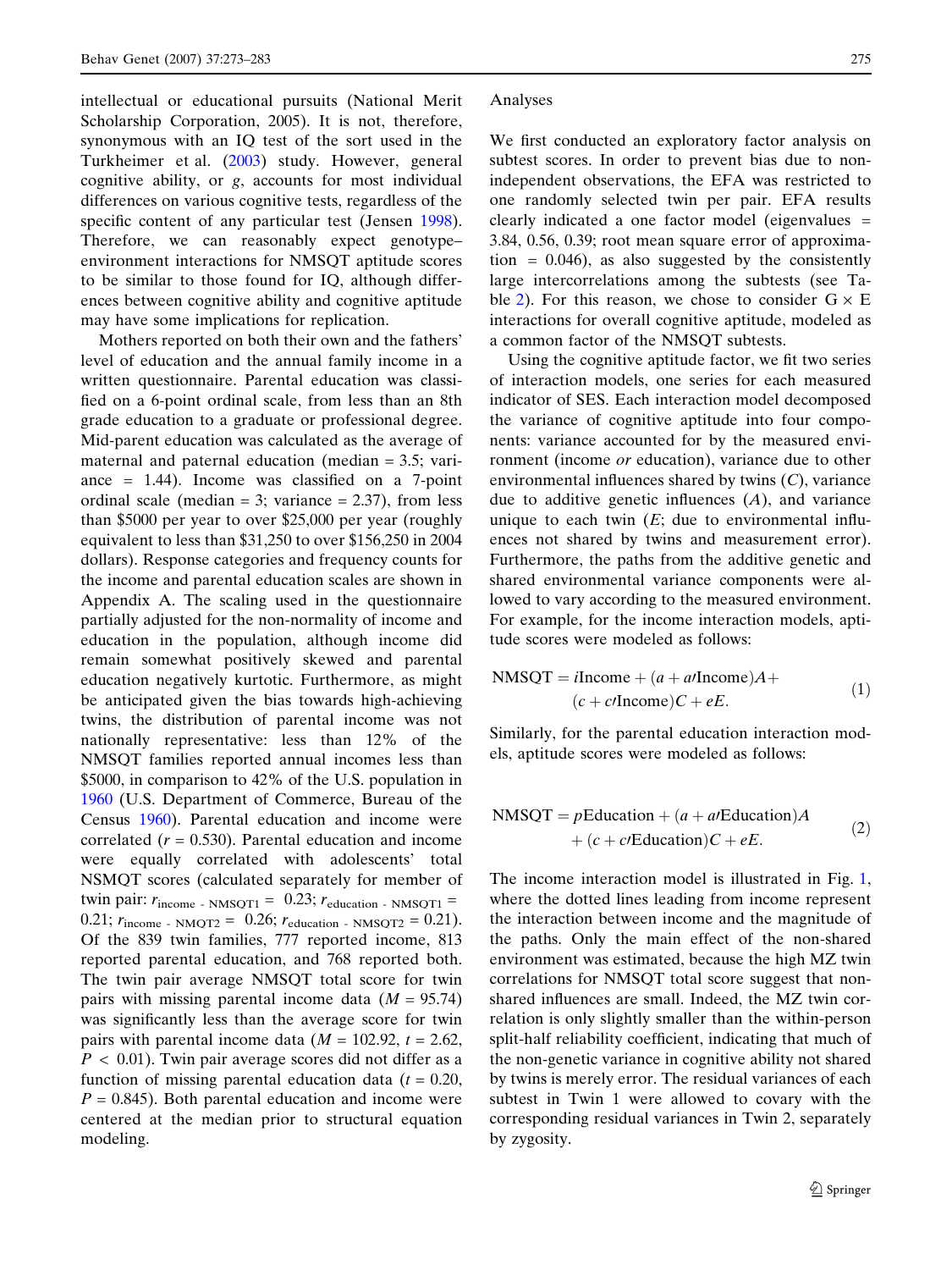intellectual or educational pursuits (National Merit Scholarship Corporation, 2005). It is not, therefore, synonymous with an IQ test of the sort used in the Turkheimer et al. (2003) study. However, general cognitive ability, or g, accounts for most individual differences on various cognitive tests, regardless of the specific content of any particular test (Jensen 1998). Therefore, we can reasonably expect genotype– environment interactions for NMSQT aptitude scores to be similar to those found for IQ, although differences between cognitive ability and cognitive aptitude may have some implications for replication.

Mothers reported on both their own and the fathers' level of education and the annual family income in a written questionnaire. Parental education was classified on a 6-point ordinal scale, from less than an 8th grade education to a graduate or professional degree. Mid-parent education was calculated as the average of maternal and paternal education (median = 3.5; variance  $= 1.44$ ). Income was classified on a 7-point ordinal scale (median = 3; variance =  $2.37$ ), from less than \$5000 per year to over \$25,000 per year (roughly equivalent to less than \$31,250 to over \$156,250 in 2004 dollars). Response categories and frequency counts for the income and parental education scales are shown in Appendix A. The scaling used in the questionnaire partially adjusted for the non-normality of income and education in the population, although income did remain somewhat positively skewed and parental education negatively kurtotic. Furthermore, as might be anticipated given the bias towards high-achieving twins, the distribution of parental income was not nationally representative: less than 12% of the NMSQT families reported annual incomes less than \$5000, in comparison to 42% of the U.S. population in 1960 (U.S. Department of Commerce, Bureau of the Census 1960). Parental education and income were correlated  $(r = 0.530)$ . Parental education and income were equally correlated with adolescents' total NSMQT scores (calculated separately for member of twin pair:  $r_{\text{income}}$  - NMSOT1 = 0.23;  $r_{\text{eduction}}$  - NMSOT1 = 0.21;  $r_{\text{income}}$  - NMQT2 = 0.26;  $r_{\text{education}}$  - NMSQT2 = 0.21). Of the 839 twin families, 777 reported income, 813 reported parental education, and 768 reported both. The twin pair average NMSQT total score for twin pairs with missing parental income data  $(M = 95.74)$ was significantly less than the average score for twin pairs with parental income data ( $M = 102.92$ ,  $t = 2.62$ ,  $P < 0.01$ ). Twin pair average scores did not differ as a function of missing parental education data ( $t = 0.20$ ,  $P = 0.845$ . Both parental education and income were centered at the median prior to structural equation modeling.

#### Analyses

We first conducted an exploratory factor analysis on subtest scores. In order to prevent bias due to nonindependent observations, the EFA was restricted to one randomly selected twin per pair. EFA results clearly indicated a one factor model (eigenvalues = 3.84, 0.56, 0.39; root mean square error of approximation  $= 0.046$ , as also suggested by the consistently large intercorrelations among the subtests (see Table 2). For this reason, we chose to consider  $G \times E$ interactions for overall cognitive aptitude, modeled as a common factor of the NMSQT subtests.

Using the cognitive aptitude factor, we fit two series of interaction models, one series for each measured indicator of SES. Each interaction model decomposed the variance of cognitive aptitude into four components: variance accounted for by the measured environment (income or education), variance due to other environmental influences shared by twins  $(C)$ , variance due to additive genetic influences  $(A)$ , and variance unique to each twin  $(E;$  due to environmental influences not shared by twins and measurement error). Furthermore, the paths from the additive genetic and shared environmental variance components were allowed to vary according to the measured environment. For example, for the income interaction models, aptitude scores were modeled as follows:

$$
NMSQT = iIncome + (a + a/Income)A +(c + c/Income)C + eE.
$$
 (1)

Similarly, for the parental education interaction models, aptitude scores were modeled as follows:

$$
NMSQT = pEducation + (a + a/Education)A + (c + c/Education)C + eE.
$$
 (2)

The income interaction model is illustrated in Fig. 1, where the dotted lines leading from income represent the interaction between income and the magnitude of the paths. Only the main effect of the non-shared environment was estimated, because the high MZ twin correlations for NMSQT total score suggest that nonshared influences are small. Indeed, the MZ twin correlation is only slightly smaller than the within-person split-half reliability coefficient, indicating that much of the non-genetic variance in cognitive ability not shared by twins is merely error. The residual variances of each subtest in Twin 1 were allowed to covary with the corresponding residual variances in Twin 2, separately by zygosity.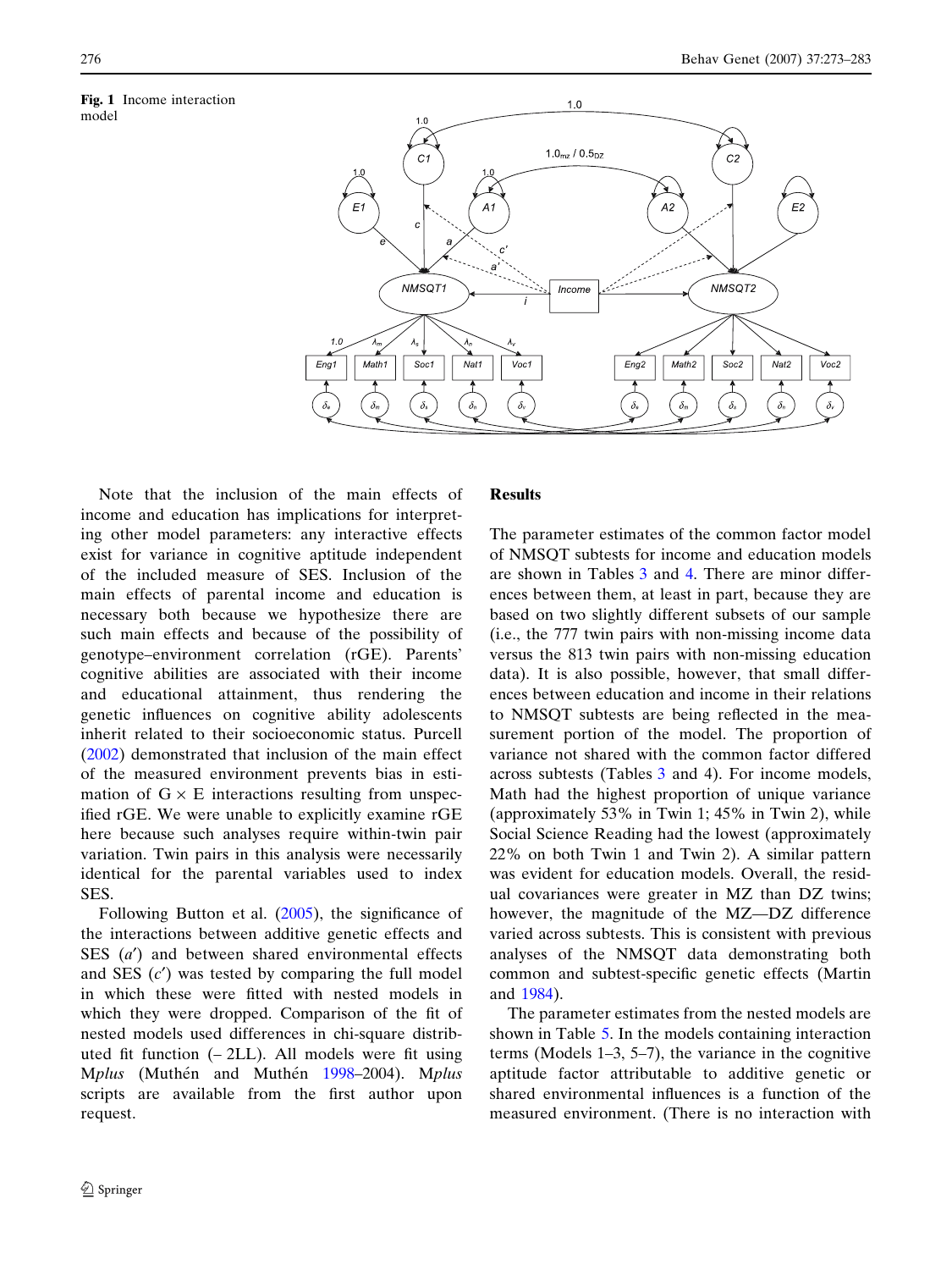model

Fig. 1 Income interaction



Note that the inclusion of the main effects of income and education has implications for interpreting other model parameters: any interactive effects exist for variance in cognitive aptitude independent of the included measure of SES. Inclusion of the main effects of parental income and education is necessary both because we hypothesize there are such main effects and because of the possibility of genotype–environment correlation (rGE). Parents' cognitive abilities are associated with their income and educational attainment, thus rendering the genetic influences on cognitive ability adolescents inherit related to their socioeconomic status. Purcell (2002) demonstrated that inclusion of the main effect of the measured environment prevents bias in estimation of  $G \times E$  interactions resulting from unspecified rGE. We were unable to explicitly examine rGE here because such analyses require within-twin pair variation. Twin pairs in this analysis were necessarily identical for the parental variables used to index SES.

Following Button et al.  $(2005)$ , the significance of the interactions between additive genetic effects and SES  $(a')$  and between shared environmental effects and SES  $(c')$  was tested by comparing the full model in which these were fitted with nested models in which they were dropped. Comparison of the fit of nested models used differences in chi-square distributed fit function (– 2LL). All models were fit using Mplus (Muthén and Muthén 1998–2004). Mplus scripts are available from the first author upon request.

#### Results

The parameter estimates of the common factor model of NMSQT subtests for income and education models are shown in Tables 3 and 4. There are minor differences between them, at least in part, because they are based on two slightly different subsets of our sample (i.e., the 777 twin pairs with non-missing income data versus the 813 twin pairs with non-missing education data). It is also possible, however, that small differences between education and income in their relations to NMSQT subtests are being reflected in the measurement portion of the model. The proportion of variance not shared with the common factor differed across subtests (Tables 3 and 4). For income models, Math had the highest proportion of unique variance (approximately 53% in Twin 1; 45% in Twin 2), while Social Science Reading had the lowest (approximately 22% on both Twin 1 and Twin 2). A similar pattern was evident for education models. Overall, the residual covariances were greater in MZ than DZ twins; however, the magnitude of the MZ—DZ difference varied across subtests. This is consistent with previous analyses of the NMSQT data demonstrating both common and subtest-specific genetic effects (Martin and 1984).

The parameter estimates from the nested models are shown in Table 5. In the models containing interaction terms (Models 1–3, 5–7), the variance in the cognitive aptitude factor attributable to additive genetic or shared environmental influences is a function of the measured environment. (There is no interaction with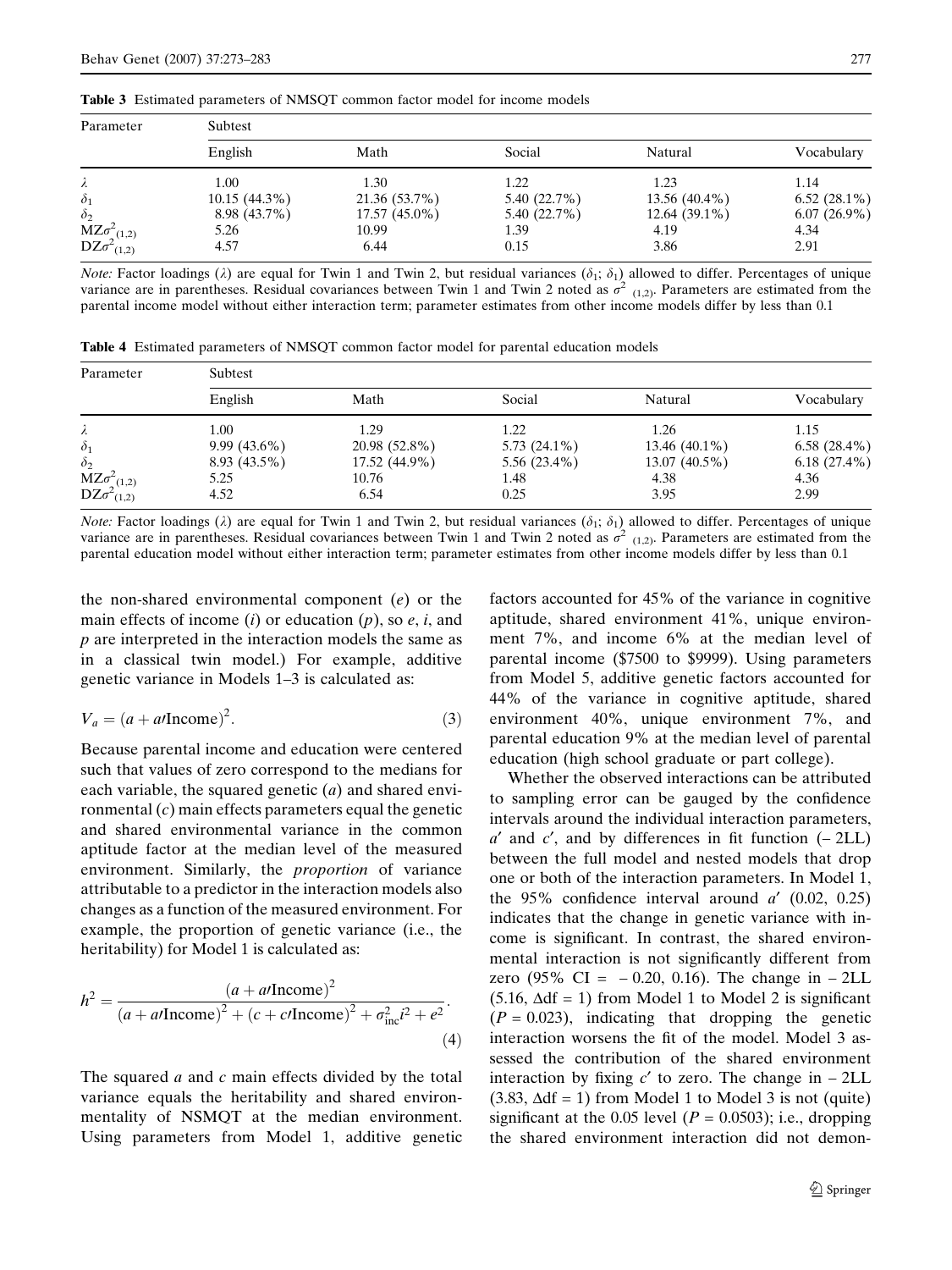| <b>Table 3</b> Estimated parameters of NMSOT common factor model for income models |  |
|------------------------------------------------------------------------------------|--|
|------------------------------------------------------------------------------------|--|

| Parameter                                     | Subtest         |               |             |                 |                |  |  |  |  |  |
|-----------------------------------------------|-----------------|---------------|-------------|-----------------|----------------|--|--|--|--|--|
|                                               | English         | Math          | Social      | Natural         | Vocabulary     |  |  |  |  |  |
| λ                                             | 1.00            | 1.30          | 1.22        | 1.23            | 1.14           |  |  |  |  |  |
| $\delta_1$                                    | $10.15(44.3\%)$ | 21.36 (53.7%) | 5.40(22.7%) | 13.56 (40.4%)   | $6.52(28.1\%)$ |  |  |  |  |  |
| $\delta_2$                                    | 8.98 (43.7%)    | 17.57 (45.0%) | 5.40(22.7%) | $12.64(39.1\%)$ | $6.07(26.9\%)$ |  |  |  |  |  |
|                                               | 5.26            | 10.99         | 1.39        | 4.19            | 4.34           |  |  |  |  |  |
| $MZ\sigma^2_{(1,2)}$<br>DZ $\sigma^2_{(1,2)}$ | 4.57            | 6.44          | 0.15        | 3.86            | 2.91           |  |  |  |  |  |

*Note:* Factor loadings ( $\lambda$ ) are equal for Twin 1 and Twin 2, but residual variances ( $\delta_1$ ;  $\delta_1$ ) allowed to differ. Percentages of unique variance are in parentheses. Residual covariances between Twin 1 and Twin 2 noted as  $\sigma^2$  (1,2). Parameters are estimated from the parental income model without either interaction term; parameter estimates from other income models differ by less than 0.1

|  |  | <b>Table 4</b> Estimated parameters of NMSOT common factor model for parental education models |  |  |  |  |  |  |  |  |
|--|--|------------------------------------------------------------------------------------------------|--|--|--|--|--|--|--|--|
|--|--|------------------------------------------------------------------------------------------------|--|--|--|--|--|--|--|--|

| Parameter                                     | Subtest        |               |                |                 |                |  |  |  |  |
|-----------------------------------------------|----------------|---------------|----------------|-----------------|----------------|--|--|--|--|
|                                               | English        | Math          | Social         | Natural         | Vocabulary     |  |  |  |  |
| λ                                             | 1.00           | 1.29          | 1.22           | 1.26            | 1.15           |  |  |  |  |
| $\delta_1$                                    | $9.99(43.6\%)$ | 20.98 (52.8%) | $5.73(24.1\%)$ | $13.46(40.1\%)$ | $6.58(28.4\%)$ |  |  |  |  |
| $\delta_2$                                    | 8.93 (43.5%)   | 17.52 (44.9%) | $5.56(23.4\%)$ | 13.07 (40.5%)   | $6.18(27.4\%)$ |  |  |  |  |
|                                               | 5.25           | 10.76         | 1.48           | 4.38            | 4.36           |  |  |  |  |
| $MZ\sigma^2_{(1,2)}$<br>DZ $\sigma^2_{(1,2)}$ | 4.52           | 6.54          | 0.25           | 3.95            | 2.99           |  |  |  |  |

*Note:* Factor loadings ( $\lambda$ ) are equal for Twin 1 and Twin 2, but residual variances ( $\delta_1$ ;  $\delta_1$ ) allowed to differ. Percentages of unique variance are in parentheses. Residual covariances between Twin 1 and Twin 2 noted as  $\sigma^2$  (1,2). Parameters are estimated from the parental education model without either interaction term; parameter estimates from other income models differ by less than 0.1

the non-shared environmental component (e) or the main effects of income  $(i)$  or education  $(p)$ , so  $e, i$ , and p are interpreted in the interaction models the same as in a classical twin model.) For example, additive genetic variance in Models 1–3 is calculated as:

$$
V_a = (a + a/\text{Income})^2. \tag{3}
$$

Because parental income and education were centered such that values of zero correspond to the medians for each variable, the squared genetic  $(a)$  and shared environmental  $(c)$  main effects parameters equal the genetic and shared environmental variance in the common aptitude factor at the median level of the measured environment. Similarly, the proportion of variance attributable to a predictor in the interaction models also changes as a function of the measured environment. For example, the proportion of genetic variance (i.e., the heritability) for Model 1 is calculated as:

$$
h^{2} = \frac{(a + a/\text{Income})^{2}}{(a + a/\text{Income})^{2} + (c + c/\text{Income})^{2} + \sigma_{\text{inc}}^{2}i^{2} + e^{2}}.
$$
\n(4)

The squared *a* and *c* main effects divided by the total variance equals the heritability and shared environmentality of NSMQT at the median environment. Using parameters from Model 1, additive genetic factors accounted for 45% of the variance in cognitive aptitude, shared environment 41%, unique environment 7%, and income 6% at the median level of parental income (\$7500 to \$9999). Using parameters from Model 5, additive genetic factors accounted for 44% of the variance in cognitive aptitude, shared environment 40%, unique environment 7%, and parental education 9% at the median level of parental education (high school graduate or part college).

Whether the observed interactions can be attributed to sampling error can be gauged by the confidence intervals around the individual interaction parameters,  $a'$  and  $c'$ , and by differences in fit function  $(-2LL)$ between the full model and nested models that drop one or both of the interaction parameters. In Model 1, the 95% confidence interval around  $a'$  (0.02, 0.25) indicates that the change in genetic variance with income is significant. In contrast, the shared environmental interaction is not significantly different from zero (95% CI =  $-0.20$ , 0.16). The change in  $-2LL$  $(5.16, \Delta df = 1)$  from Model 1 to Model 2 is significant  $(P = 0.023)$ , indicating that dropping the genetic interaction worsens the fit of the model. Model 3 assessed the contribution of the shared environment interaction by fixing  $c'$  to zero. The change in  $-2LL$  $(3.83, \Delta df = 1)$  from Model 1 to Model 3 is not (quite) significant at the 0.05 level ( $P = 0.0503$ ); i.e., dropping the shared environment interaction did not demon-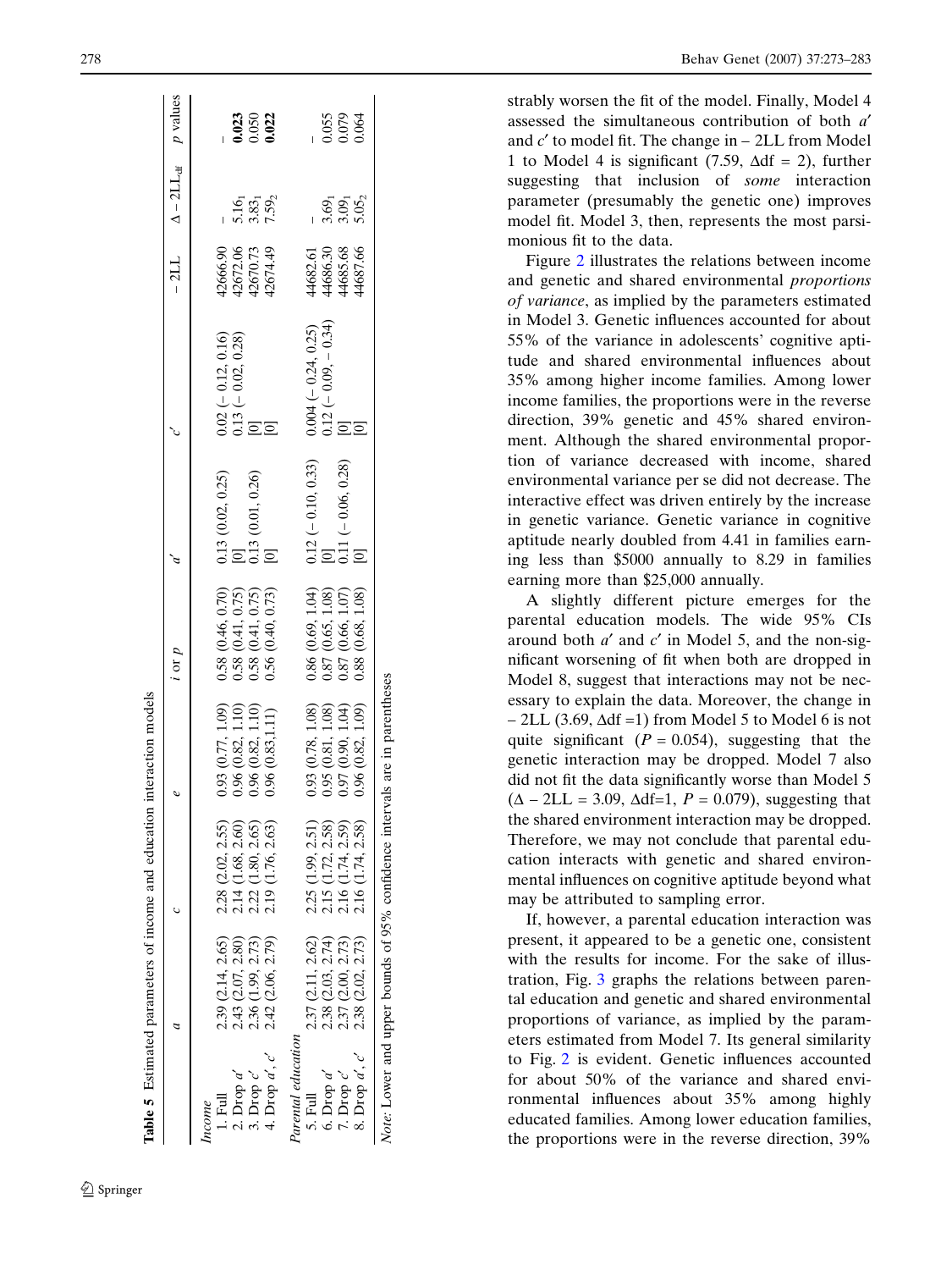|                                            |                                        |                                                                                            |                                                                                                        | $i$ or $p$                                                                                                               |                                                                                                  |                                                                                       |                                              | $-2LL$ $\Delta -2LL_{df}$ <i>p</i> values |                         |
|--------------------------------------------|----------------------------------------|--------------------------------------------------------------------------------------------|--------------------------------------------------------------------------------------------------------|--------------------------------------------------------------------------------------------------------------------------|--------------------------------------------------------------------------------------------------|---------------------------------------------------------------------------------------|----------------------------------------------|-------------------------------------------|-------------------------|
| ncome                                      |                                        |                                                                                            |                                                                                                        |                                                                                                                          |                                                                                                  |                                                                                       |                                              |                                           |                         |
| $1.$ Full                                  | 2.39 (2.14, 2.65)                      | 2.28 (2.02, 2.55)                                                                          |                                                                                                        |                                                                                                                          |                                                                                                  |                                                                                       |                                              |                                           |                         |
|                                            | 2.43 (2.07, 2.80)                      |                                                                                            | $0.93(0.77, 1.09)$<br>$0.96(0.82, 1.10)$                                                               |                                                                                                                          |                                                                                                  |                                                                                       |                                              |                                           | 0.023<br>0.050<br>0.022 |
|                                            |                                        |                                                                                            | 0.96(0.82, 1.10)                                                                                       |                                                                                                                          |                                                                                                  |                                                                                       |                                              |                                           |                         |
| 2. Drop a'<br>3. Drop c'<br>4. Drop a', c' | 2.36 (1.99, 2.73)<br>2.42 (2.06, 2.79) | $\begin{array}{c} 2.14~(1.68, 2.60) \\ 2.22~(1.80, 2.65) \\ 2.19~(1.76, 2.63) \end{array}$ | 0.96(0.83, 1.11)                                                                                       | $\begin{array}{c} 0.58\ (0.46,\, 0.70)\\ 0.58\ (0.41,\, 0.75)\\ 0.58\ (0.41,\, 0.75)\\ 0.56\ (0.40,\, 0.73) \end{array}$ | $\begin{bmatrix} 0.13 & (0.02, 0.25) \\ 0 & 0.13 & (0.01, 0.26) \\ 0 & 0 & 0.13 \end{bmatrix}$   | $\begin{array}{l} 0.02 ~ (- 0.12, 0.16) \\ 0.13 ~ (- 0.02, 0.28) \\ 0.13 \end{array}$ | 42666.90<br>42672.06<br>42670.73<br>42674.49 | $5.16_1$<br>$7.59_2$                      |                         |
| Parental education                         |                                        |                                                                                            |                                                                                                        |                                                                                                                          |                                                                                                  |                                                                                       |                                              |                                           |                         |
| 5. Full                                    | 2.37 (2.11, 2.62)                      | 2.25 (1.99, 2.51)                                                                          |                                                                                                        |                                                                                                                          |                                                                                                  |                                                                                       |                                              |                                           |                         |
| 6. Drop $a'$                               | 2.38 (2.03, 2.74)                      |                                                                                            | $\begin{array}{c} 0.93 \ (0.78,\, 1.08) \\ 0.95 \ (0.81,\, 1.08) \\ 0.97 \ (0.90,\, 1.04) \end{array}$ |                                                                                                                          |                                                                                                  |                                                                                       |                                              |                                           |                         |
| $1.$ Drop $c'$                             | 2.37 (2.00, 2.73)                      | 2.15 (1.72, 2.58)<br>2.16 (1.74, 2.59)                                                     |                                                                                                        |                                                                                                                          |                                                                                                  |                                                                                       |                                              |                                           | 0.055<br>0.079<br>0.064 |
| 8. Drop $a', c'$                           | 2.38 (2.02, 2.73)                      | 2.16 (1.74, 2.58)                                                                          | 0.96(0.82, 1.09)                                                                                       | $\begin{array}{c} 0.86\ (0.69,\, 1.04)\\ 0.87\ (0.65,\, 1.08)\\ 0.87\ (0.66,\, 1.07)\\ 0.88\ (0.68,\, 1.08) \end{array}$ | $\begin{array}{l} 0.12 \,(- \,0.10, \,0.33) \\ [0] 11 \,(- \,0.06, \,0.28) \\ [0] 1 \end{array}$ | $0.004 (- 0.24, 0.25)$<br>0.12 (-0.09, -0.34)<br>[0]                                  | 44682.61<br>44686.30<br>44685.68<br>44687.66 | 3.65<br>3.05<br>3.05                      |                         |
|                                            |                                        | Note: Lower and upper bounds of 95% confidence intervals are in parentheses                |                                                                                                        |                                                                                                                          |                                                                                                  |                                                                                       |                                              |                                           |                         |

strably worsen the fit of the model. Finally, Model 4 assessed the simultaneous contribution of both a' and  $c'$  to model fit. The change in  $-$  2LL from Model 1 to Model 4 is significant (7.59,  $\Delta df = 2$ ), further suggesting that inclusion of *some* interaction parameter (presumably the genetic one) improves model fit. Model 3, then, represents the most parsimonious fit to the data.

Figure 2 illustrates the relations between income and genetic and shared environmental proportions of variance, as implied by the parameters estimated in Model 3. Genetic influences accounted for about 55% of the variance in adolescents' cognitive aptitude and shared environmental influences about 35% among higher income families. Among lower income families, the proportions were in the reverse direction, 39% genetic and 45% shared environment. Although the shared environmental proportion of variance decreased with income, shared environmental variance per se did not decrease. The interactive effect was driven entirely by the increase in genetic variance. Genetic variance in cognitive aptitude nearly doubled from 4.41 in families earning less than \$5000 annually to 8.29 in families earning more than \$25,000 annually.

A slightly different picture emerges for the parental education models. The wide 95% CIs around both  $a'$  and  $c'$  in Model 5, and the non-significant worsening of fit when both are dropped in Model 8, suggest that interactions may not be necessary to explain the data. Moreover, the change in  $-$  2LL (3.69,  $\Delta df = 1$ ) from Model 5 to Model 6 is not quite significant ( $P = 0.054$ ), suggesting that the genetic interaction may be dropped. Model 7 also did not fit the data significantly worse than Model 5  $(\Delta - 2LL = 3.09, \Delta df = 1, P = 0.079)$ , suggesting that the shared environment interaction may be dropped. Therefore, we may not conclude that parental education interacts with genetic and shared environmental influences on cognitive aptitude beyond what may be attributed to sampling error.

If, however, a parental education interaction was present, it appeared to be a genetic one, consistent with the results for income. For the sake of illustration, Fig. 3 graphs the relations between parental education and genetic and shared environmental proportions of variance, as implied by the parameters estimated from Model 7. Its general similarity to Fig. 2 is evident. Genetic influences accounted for about 50% of the variance and shared environmental influences about 35% among highly educated families. Among lower education families, the proportions were in the reverse direction, 39%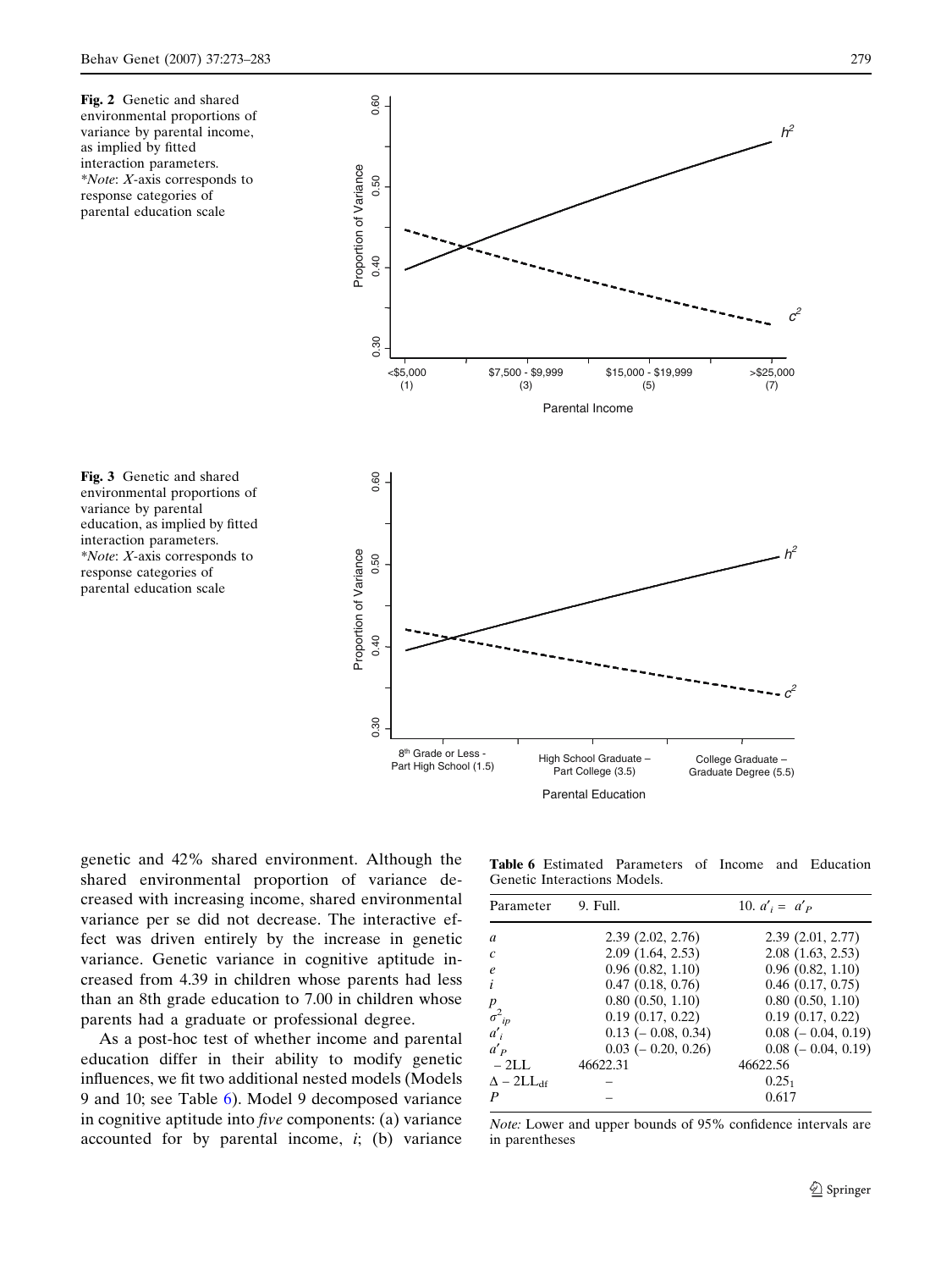Fig. 2 Genetic and shared environmental proportions of variance by parental income, as implied by fitted interaction parameters. \*Note: X-axis corresponds to response categories of parental education scale

0.60 0.30 0.40 0.50 0.60  $h^2$ Proportion of Variance Proportion of Variance 0.50 0.40  $c^2$ 0.30  $<$ \$5,000 \$7,500 - \$9,999 \$15,000 - \$19,999 >\$25,000 (3) (5) (1) (7) Parental Income  $0.60$ 0.30 0.40 0.50 0.60  $h^2$ Proportion of Variance Proportion of Variance 0.50 0.40  $c^2$  $0.30$ 8<sup>th</sup> Grade or Less 8" Grade or Less -<br>Part High School (1.5) High School Graduate College Graduate – Part College (3.5) Graduate Degree (5.5) Parental Education



genetic and 42% shared environment. Although the shared environmental proportion of variance decreased with increasing income, shared environmental variance per se did not decrease. The interactive effect was driven entirely by the increase in genetic variance. Genetic variance in cognitive aptitude increased from 4.39 in children whose parents had less than an 8th grade education to 7.00 in children whose parents had a graduate or professional degree.

As a post-hoc test of whether income and parental education differ in their ability to modify genetic influences, we fit two additional nested models (Models 9 and 10; see Table 6). Model 9 decomposed variance in cognitive aptitude into five components: (a) variance accounted for by parental income,  $i$ ; (b) variance

Table 6 Estimated Parameters of Income and Education Genetic Interactions Models.

| Parameter                  | 9. Full.                 | 10. $a'_i = a'_p$        |
|----------------------------|--------------------------|--------------------------|
| $\mathfrak{a}$             | 2.39(2.02, 2.76)         | 2.39(2.01, 2.77)         |
| $\mathcal{C}$              | 2.09(1.64, 2.53)         | 2.08(1.63, 2.53)         |
| $\epsilon$                 | $0.96$ $(0.82, 1.10)$    | $0.96$ $(0.82, 1.10)$    |
| $\dot{i}$                  | $0.47$ $(0.18, 0.76)$    | $0.46$ $(0.17, 0.75)$    |
| $\boldsymbol{p}$           | $0.80$ $(0.50, 1.10)$    | $0.80$ $(0.50, 1.10)$    |
| $\sigma^2_{ip}$            | $0.19$ $(0.17, 0.22)$    | $0.19$ $(0.17, 0.22)$    |
| $a'_i$                     | $0.13$ ( $-0.08$ , 0.34) | $0.08$ ( $-0.04$ , 0.19) |
| $a'_{P}$                   | $0.03$ ( $-0.20, 0.26$ ) | $0.08$ ( $-0.04$ , 0.19) |
| $-2LL$                     | 46622.31                 | 46622.56                 |
| $\Delta - 2LL_{\text{df}}$ |                          | $0.25_1$                 |
| $\boldsymbol{P}$           |                          | 0.617                    |

Note: Lower and upper bounds of 95% confidence intervals are in parentheses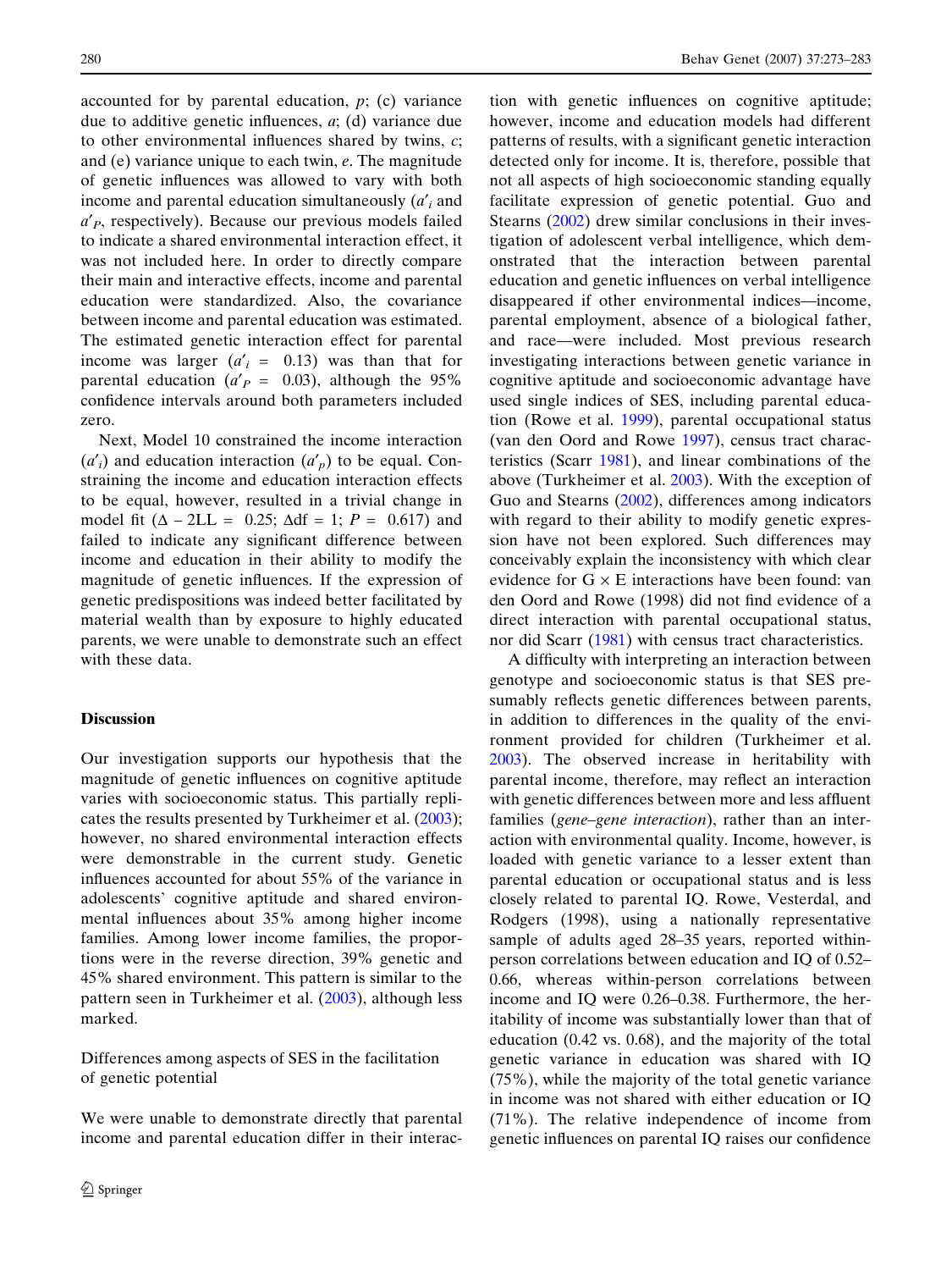accounted for by parental education,  $p$ ; (c) variance due to additive genetic influences, a; (d) variance due to other environmental influences shared by twins,  $c$ ; and (e) variance unique to each twin, e. The magnitude of genetic influences was allowed to vary with both income and parental education simultaneously  $(a<sub>i</sub>$  and  $a'_{P}$ , respectively). Because our previous models failed to indicate a shared environmental interaction effect, it was not included here. In order to directly compare their main and interactive effects, income and parental education were standardized. Also, the covariance between income and parental education was estimated. The estimated genetic interaction effect for parental income was larger  $(a'_i = 0.13)$  was than that for parental education ( $a'P = 0.03$ ), although the 95% confidence intervals around both parameters included zero.

Next, Model 10 constrained the income interaction  $(a'_i)$  and education interaction  $(a'_i)$  to be equal. Constraining the income and education interaction effects to be equal, however, resulted in a trivial change in model fit  $(\Delta - 2LL = 0.25; \Delta df = 1; P = 0.617)$  and failed to indicate any significant difference between income and education in their ability to modify the magnitude of genetic influences. If the expression of genetic predispositions was indeed better facilitated by material wealth than by exposure to highly educated parents, we were unable to demonstrate such an effect with these data.

## **Discussion**

Our investigation supports our hypothesis that the magnitude of genetic influences on cognitive aptitude varies with socioeconomic status. This partially replicates the results presented by Turkheimer et al. (2003); however, no shared environmental interaction effects were demonstrable in the current study. Genetic influences accounted for about 55% of the variance in adolescents' cognitive aptitude and shared environmental influences about 35% among higher income families. Among lower income families, the proportions were in the reverse direction, 39% genetic and 45% shared environment. This pattern is similar to the pattern seen in Turkheimer et al. (2003), although less marked.

Differences among aspects of SES in the facilitation of genetic potential

We were unable to demonstrate directly that parental income and parental education differ in their interac-

tion with genetic influences on cognitive aptitude; however, income and education models had different patterns of results, with a significant genetic interaction detected only for income. It is, therefore, possible that not all aspects of high socioeconomic standing equally facilitate expression of genetic potential. Guo and Stearns (2002) drew similar conclusions in their investigation of adolescent verbal intelligence, which demonstrated that the interaction between parental education and genetic influences on verbal intelligence disappeared if other environmental indices—income, parental employment, absence of a biological father, and race—were included. Most previous research investigating interactions between genetic variance in cognitive aptitude and socioeconomic advantage have used single indices of SES, including parental education (Rowe et al. 1999), parental occupational status (van den Oord and Rowe 1997), census tract characteristics (Scarr 1981), and linear combinations of the above (Turkheimer et al. 2003). With the exception of Guo and Stearns (2002), differences among indicators with regard to their ability to modify genetic expression have not been explored. Such differences may conceivably explain the inconsistency with which clear evidence for  $G \times E$  interactions have been found: van den Oord and Rowe (1998) did not find evidence of a direct interaction with parental occupational status, nor did Scarr (1981) with census tract characteristics.

A difficulty with interpreting an interaction between genotype and socioeconomic status is that SES presumably reflects genetic differences between parents, in addition to differences in the quality of the environment provided for children (Turkheimer et al. 2003). The observed increase in heritability with parental income, therefore, may reflect an interaction with genetic differences between more and less affluent families (gene–gene interaction), rather than an interaction with environmental quality. Income, however, is loaded with genetic variance to a lesser extent than parental education or occupational status and is less closely related to parental IQ. Rowe, Vesterdal, and Rodgers (1998), using a nationally representative sample of adults aged 28–35 years, reported withinperson correlations between education and IQ of 0.52– 0.66, whereas within-person correlations between income and IQ were 0.26–0.38. Furthermore, the heritability of income was substantially lower than that of education (0.42 vs. 0.68), and the majority of the total genetic variance in education was shared with IQ (75%), while the majority of the total genetic variance in income was not shared with either education or IQ (71%). The relative independence of income from genetic influences on parental IQ raises our confidence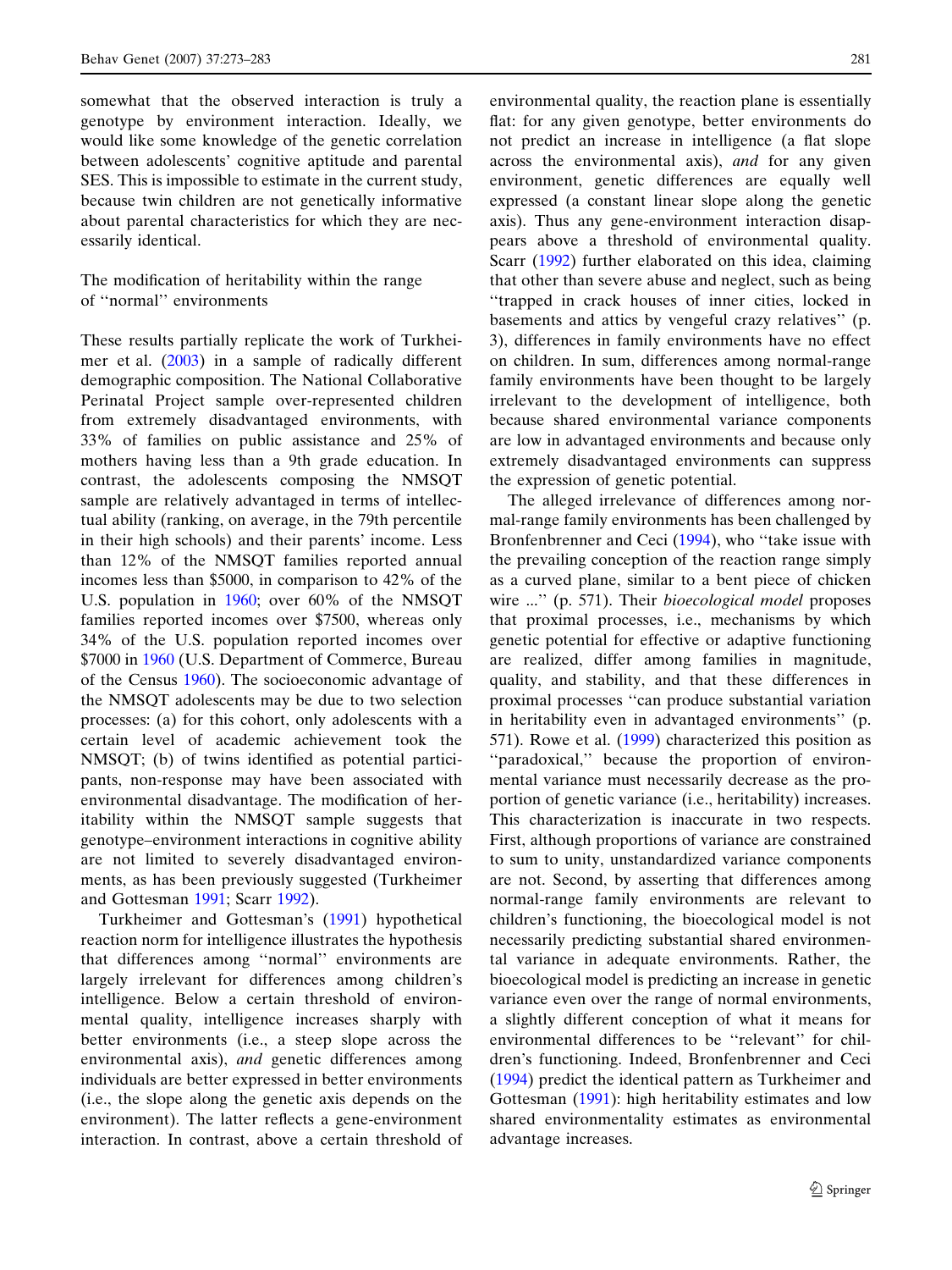somewhat that the observed interaction is truly a genotype by environment interaction. Ideally, we would like some knowledge of the genetic correlation between adolescents' cognitive aptitude and parental SES. This is impossible to estimate in the current study, because twin children are not genetically informative about parental characteristics for which they are necessarily identical.

The modification of heritability within the range of ''normal'' environments

These results partially replicate the work of Turkheimer et al. (2003) in a sample of radically different demographic composition. The National Collaborative Perinatal Project sample over-represented children from extremely disadvantaged environments, with 33% of families on public assistance and 25% of mothers having less than a 9th grade education. In contrast, the adolescents composing the NMSQT sample are relatively advantaged in terms of intellectual ability (ranking, on average, in the 79th percentile in their high schools) and their parents' income. Less than 12% of the NMSQT families reported annual incomes less than \$5000, in comparison to 42% of the U.S. population in 1960; over 60% of the NMSQT families reported incomes over \$7500, whereas only 34% of the U.S. population reported incomes over \$7000 in 1960 (U.S. Department of Commerce, Bureau of the Census 1960). The socioeconomic advantage of the NMSQT adolescents may be due to two selection processes: (a) for this cohort, only adolescents with a certain level of academic achievement took the NMSQT; (b) of twins identified as potential participants, non-response may have been associated with environmental disadvantage. The modification of heritability within the NMSQT sample suggests that genotype–environment interactions in cognitive ability are not limited to severely disadvantaged environments, as has been previously suggested (Turkheimer and Gottesman 1991; Scarr 1992).

Turkheimer and Gottesman's (1991) hypothetical reaction norm for intelligence illustrates the hypothesis that differences among ''normal'' environments are largely irrelevant for differences among children's intelligence. Below a certain threshold of environmental quality, intelligence increases sharply with better environments (i.e., a steep slope across the environmental axis), and genetic differences among individuals are better expressed in better environments (i.e., the slope along the genetic axis depends on the environment). The latter reflects a gene-environment interaction. In contrast, above a certain threshold of

environmental quality, the reaction plane is essentially flat: for any given genotype, better environments do not predict an increase in intelligence (a flat slope across the environmental axis), and for any given environment, genetic differences are equally well expressed (a constant linear slope along the genetic axis). Thus any gene-environment interaction disappears above a threshold of environmental quality. Scarr (1992) further elaborated on this idea, claiming that other than severe abuse and neglect, such as being ''trapped in crack houses of inner cities, locked in basements and attics by vengeful crazy relatives'' (p. 3), differences in family environments have no effect on children. In sum, differences among normal-range family environments have been thought to be largely irrelevant to the development of intelligence, both because shared environmental variance components are low in advantaged environments and because only extremely disadvantaged environments can suppress the expression of genetic potential.

The alleged irrelevance of differences among normal-range family environments has been challenged by Bronfenbrenner and Ceci (1994), who "take issue with the prevailing conception of the reaction range simply as a curved plane, similar to a bent piece of chicken wire ..." (p. 571). Their *bioecological model* proposes that proximal processes, i.e., mechanisms by which genetic potential for effective or adaptive functioning are realized, differ among families in magnitude, quality, and stability, and that these differences in proximal processes ''can produce substantial variation in heritability even in advantaged environments'' (p. 571). Rowe et al. (1999) characterized this position as "paradoxical," because the proportion of environmental variance must necessarily decrease as the proportion of genetic variance (i.e., heritability) increases. This characterization is inaccurate in two respects. First, although proportions of variance are constrained to sum to unity, unstandardized variance components are not. Second, by asserting that differences among normal-range family environments are relevant to children's functioning, the bioecological model is not necessarily predicting substantial shared environmental variance in adequate environments. Rather, the bioecological model is predicting an increase in genetic variance even over the range of normal environments, a slightly different conception of what it means for environmental differences to be ''relevant'' for children's functioning. Indeed, Bronfenbrenner and Ceci (1994) predict the identical pattern as Turkheimer and Gottesman (1991): high heritability estimates and low shared environmentality estimates as environmental advantage increases.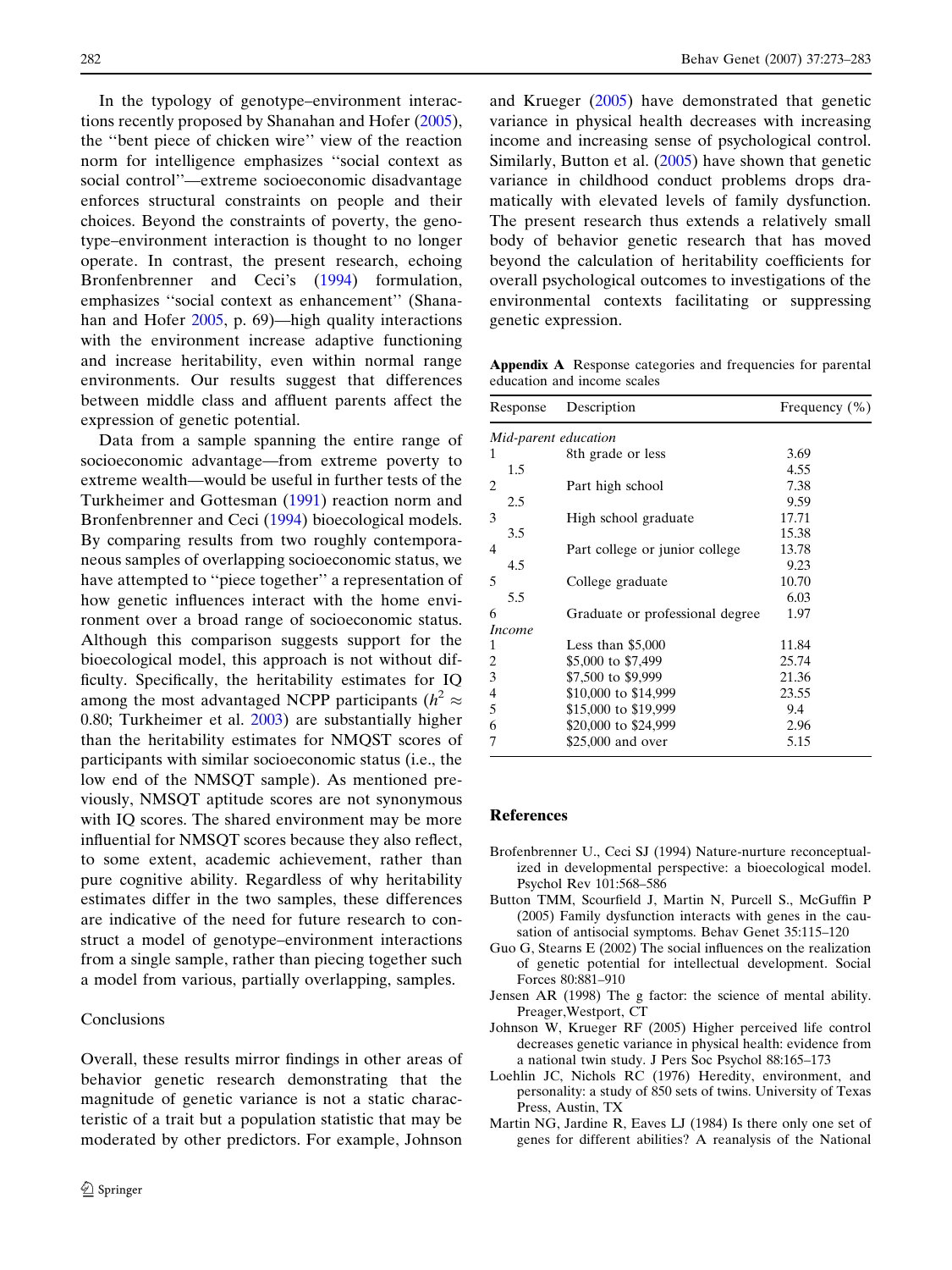In the typology of genotype–environment interactions recently proposed by Shanahan and Hofer (2005), the ''bent piece of chicken wire'' view of the reaction norm for intelligence emphasizes ''social context as social control''—extreme socioeconomic disadvantage enforces structural constraints on people and their choices. Beyond the constraints of poverty, the genotype–environment interaction is thought to no longer operate. In contrast, the present research, echoing Bronfenbrenner and Ceci's (1994) formulation, emphasizes ''social context as enhancement'' (Shanahan and Hofer 2005, p. 69)—high quality interactions with the environment increase adaptive functioning and increase heritability, even within normal range environments. Our results suggest that differences between middle class and affluent parents affect the expression of genetic potential.

Data from a sample spanning the entire range of socioeconomic advantage—from extreme poverty to extreme wealth—would be useful in further tests of the Turkheimer and Gottesman (1991) reaction norm and Bronfenbrenner and Ceci (1994) bioecological models. By comparing results from two roughly contemporaneous samples of overlapping socioeconomic status, we have attempted to ''piece together'' a representation of how genetic influences interact with the home environment over a broad range of socioeconomic status. Although this comparison suggests support for the bioecological model, this approach is not without difficulty. Specifically, the heritability estimates for IQ among the most advantaged NCPP participants ( $h^2 \approx$ 0.80; Turkheimer et al. 2003) are substantially higher than the heritability estimates for NMQST scores of participants with similar socioeconomic status (i.e., the low end of the NMSQT sample). As mentioned previously, NMSQT aptitude scores are not synonymous with IQ scores. The shared environment may be more influential for NMSQT scores because they also reflect, to some extent, academic achievement, rather than pure cognitive ability. Regardless of why heritability estimates differ in the two samples, these differences are indicative of the need for future research to construct a model of genotype–environment interactions from a single sample, rather than piecing together such a model from various, partially overlapping, samples.

## Conclusions

Overall, these results mirror findings in other areas of behavior genetic research demonstrating that the magnitude of genetic variance is not a static characteristic of a trait but a population statistic that may be moderated by other predictors. For example, Johnson

and Krueger (2005) have demonstrated that genetic variance in physical health decreases with increasing income and increasing sense of psychological control. Similarly, Button et al. (2005) have shown that genetic variance in childhood conduct problems drops dramatically with elevated levels of family dysfunction. The present research thus extends a relatively small body of behavior genetic research that has moved beyond the calculation of heritability coefficients for overall psychological outcomes to investigations of the environmental contexts facilitating or suppressing genetic expression.

Appendix A Response categories and frequencies for parental education and income scales

| Response             | Description                     | Frequency $(\% )$ |
|----------------------|---------------------------------|-------------------|
| Mid-parent education |                                 |                   |
| 1                    | 8th grade or less               | 3.69              |
| 1.5                  |                                 | 4.55              |
| 2                    | Part high school                | 7.38              |
| 2.5                  |                                 | 9.59              |
| 3                    | High school graduate            | 17.71             |
| 3.5                  |                                 | 15.38             |
| 4                    | Part college or junior college  | 13.78             |
| 4.5                  |                                 | 9.23              |
| 5                    | College graduate                | 10.70             |
| 5.5                  |                                 | 6.03              |
| 6                    | Graduate or professional degree | 1.97              |
| <i>Income</i>        |                                 |                   |
| 1                    | Less than $$5,000$              | 11.84             |
| 2                    | \$5,000 to \$7,499              | 25.74             |
| 3                    | \$7,500 to \$9,999              | 21.36             |
| 4                    | \$10,000 to \$14,999            | 23.55             |
| 5                    | \$15,000 to \$19,999            | 9.4               |
| 6                    | \$20,000 to \$24,999            | 2.96              |
| 7                    | \$25,000 and over               | 5.15              |
|                      |                                 |                   |

#### References

- Brofenbrenner U., Ceci SJ (1994) Nature-nurture reconceptualized in developmental perspective: a bioecological model. Psychol Rev 101:568–586
- Button TMM, Scourfield J, Martin N, Purcell S., McGuffin P (2005) Family dysfunction interacts with genes in the causation of antisocial symptoms. Behav Genet 35:115–120
- Guo G, Stearns E (2002) The social influences on the realization of genetic potential for intellectual development. Social Forces 80:881–910
- Jensen AR (1998) The g factor: the science of mental ability. Preager,Westport, CT
- Johnson W, Krueger RF (2005) Higher perceived life control decreases genetic variance in physical health: evidence from a national twin study. J Pers Soc Psychol 88:165–173
- Loehlin JC, Nichols RC (1976) Heredity, environment, and personality: a study of 850 sets of twins. University of Texas Press, Austin, TX
- Martin NG, Jardine R, Eaves LJ (1984) Is there only one set of genes for different abilities? A reanalysis of the National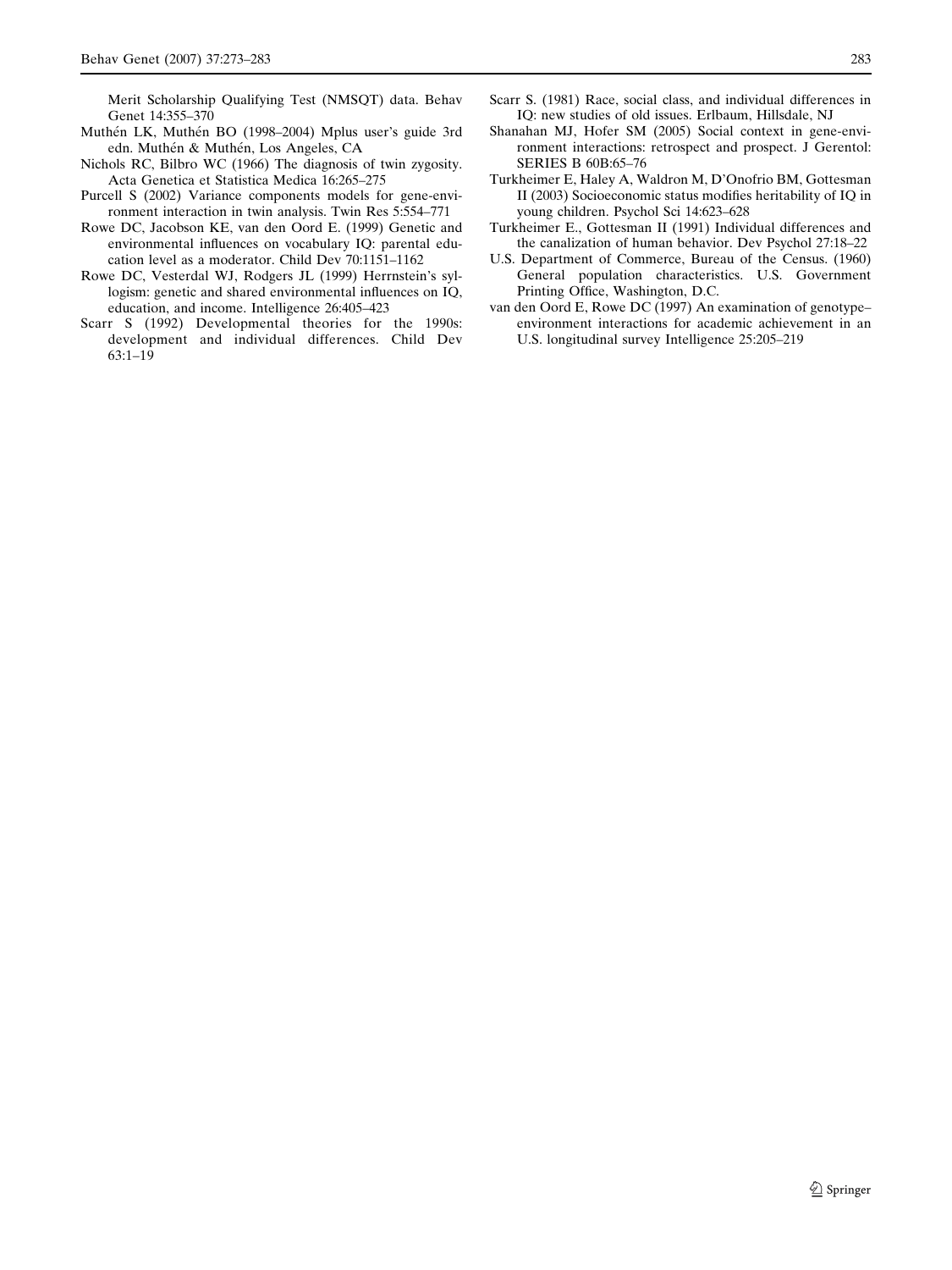Merit Scholarship Qualifying Test (NMSQT) data. Behav Genet 14:355–370

- Muthén LK, Muthén BO (1998–2004) Mplus user's guide 3rd edn. Muthén & Muthén, Los Angeles, CA
- Nichols RC, Bilbro WC (1966) The diagnosis of twin zygosity. Acta Genetica et Statistica Medica 16:265–275
- Purcell S (2002) Variance components models for gene-environment interaction in twin analysis. Twin Res 5:554–771
- Rowe DC, Jacobson KE, van den Oord E. (1999) Genetic and environmental influences on vocabulary IQ: parental education level as a moderator. Child Dev 70:1151–1162
- Rowe DC, Vesterdal WJ, Rodgers JL (1999) Herrnstein's syllogism: genetic and shared environmental influences on IQ, education, and income. Intelligence 26:405–423
- Scarr S (1992) Developmental theories for the 1990s: development and individual differences. Child Dev 63:1–19
- Scarr S. (1981) Race, social class, and individual differences in IQ: new studies of old issues. Erlbaum, Hillsdale, NJ
- Shanahan MJ, Hofer SM (2005) Social context in gene-environment interactions: retrospect and prospect. J Gerentol: SERIES B 60B:65–76
- Turkheimer E, Haley A, Waldron M, D'Onofrio BM, Gottesman II (2003) Socioeconomic status modifies heritability of IQ in young children. Psychol Sci 14:623–628
- Turkheimer E., Gottesman II (1991) Individual differences and the canalization of human behavior. Dev Psychol 27:18–22
- U.S. Department of Commerce, Bureau of the Census. (1960) General population characteristics. U.S. Government Printing Office, Washington, D.C.
- van den Oord E, Rowe DC (1997) An examination of genotype– environment interactions for academic achievement in an U.S. longitudinal survey Intelligence 25:205–219